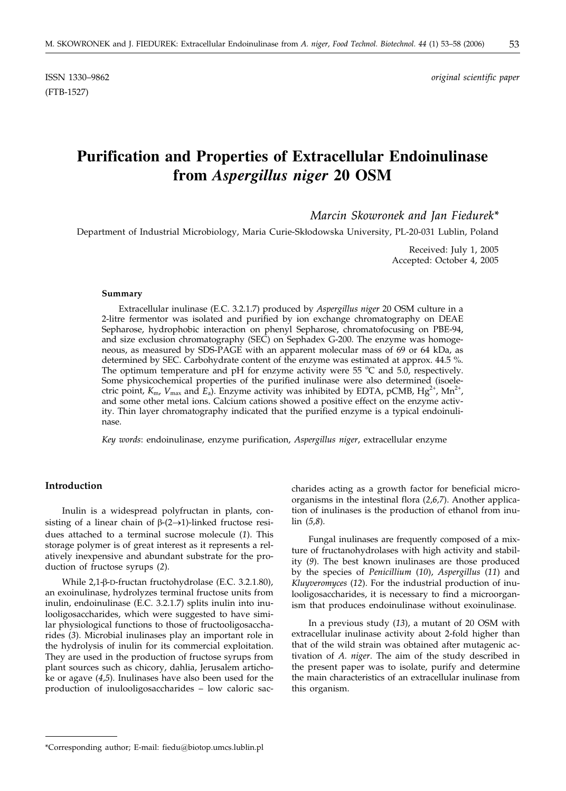(FTB-1527)

ISSN 1330–9862 *original scientific paper*

# **Purification and Properties of Extracellular Endoinulinase from** *Aspergillus niger* **20 OSM**

*Marcin Skowronek and Jan Fiedurek\**

Department of Industrial Microbiology, Maria Curie-Sk*³*odowska University, PL-20-031 Lublin, Poland

Received: July 1, 2005 Accepted: October 4, 2005

#### **Summary**

Extracellular inulinase (E.C. 3.2.1.7) produced by *Aspergillus niger* 20 OSM culture in a 2-litre fermentor was isolated and purified by ion exchange chromatography on DEAE Sepharose, hydrophobic interaction on phenyl Sepharose, chromatofocusing on PBE-94, and size exclusion chromatography (SEC) on Sephadex G-200. The enzyme was homogeneous, as measured by SDS-PAGE with an apparent molecular mass of 69 or 64 kDa, as determined by SEC. Carbohydrate content of the enzyme was estimated at approx. 44.5 %. The optimum temperature and pH for enzyme activity were 55  $^{\circ}$ C and 5.0, respectively. Some physicochemical properties of the purified inulinase were also determined (isoelectric point,  $K_{\text{m}}$ ,  $V_{\text{max}}$  and  $E_a$ ). Enzyme activity was inhibited by EDTA, pCMB,  $Hg^{2+}$ , Mn<sup>2+</sup>, and some other metal ions. Calcium cations showed a positive effect on the enzyme activity. Thin layer chromatography indicated that the purified enzyme is a typical endoinulinase.

*Key words*: endoinulinase, enzyme purification, *Aspergillus niger*, extracellular enzyme

# **Introduction**

Inulin is a widespread polyfructan in plants, consisting of a linear chain of  $\beta$ -(2→1)-linked fructose residues attached to a terminal sucrose molecule (*1*). This storage polymer is of great interest as it represents a relatively inexpensive and abundant substrate for the production of fructose syrups (*2*).

While  $2,1$ - $\beta$ -D-fructan fructohydrolase (E.C. 3.2.1.80), an exoinulinase, hydrolyzes terminal fructose units from inulin, endoinulinase (E.C. 3.2.1.7) splits inulin into inulooligosaccharides, which were suggested to have similar physiological functions to those of fructooligosaccharides (*3*). Microbial inulinases play an important role in the hydrolysis of inulin for its commercial exploitation. They are used in the production of fructose syrups from plant sources such as chicory, dahlia, Jerusalem artichoke or agave (*4*,*5*). Inulinases have also been used for the production of inulooligosaccharides – low caloric saccharides acting as a growth factor for beneficial microorganisms in the intestinal flora (*2*,*6,7*). Another application of inulinases is the production of ethanol from inulin (*5,8*).

Fungal inulinases are frequently composed of a mixture of fructanohydrolases with high activity and stability (*9*). The best known inulinases are those produced by the species of *Penicillium* (*10*), *Aspergillus* (*11*) and *Kluyveromyces* (*12*). For the industrial production of inulooligosaccharides, it is necessary to find a microorganism that produces endoinulinase without exoinulinase.

In a previous study (*13*), a mutant of 20 OSM with extracellular inulinase activity about 2-fold higher than that of the wild strain was obtained after mutagenic activation of *A. niger*. The aim of the study described in the present paper was to isolate, purify and determine the main characteristics of an extracellular inulinase from this organism.

<sup>\*</sup>Corresponding author; E-mail: fiedu*@*biotop.umcs.lublin.pl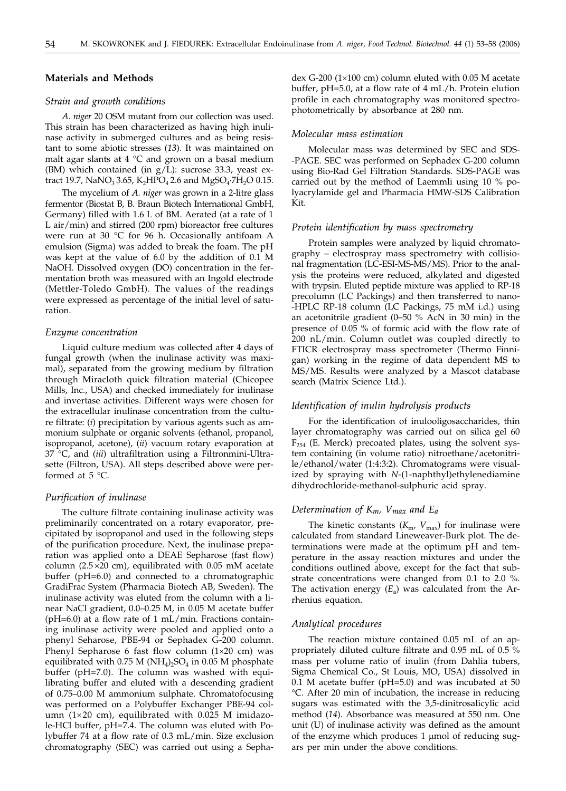# **Materials and Methods**

#### *Strain and growth conditions*

*A. niger* 20 OSM mutant from our collection was used. This strain has been characterized as having high inulinase activity in submerged cultures and as being resistant to some abiotic stresses (*13*)*.* It was maintained on malt agar slants at 4 °C and grown on a basal medium (BM) which contained (in  $g/L$ ): sucrose 33.3, yeast extract 19.7, NaNO<sub>3</sub> 3.65, K<sub>2</sub>HPO<sub>4</sub> 2.6 and MgSO<sub>4</sub>·7H<sub>2</sub>O 0.15.

The mycelium of *A. niger* was grown in a 2-litre glass fermentor (Biostat B, B. Braun Biotech International GmbH, Germany) filled with 1.6 L of BM. Aerated (at a rate of 1 L air/min) and stirred (200 rpm) bioreactor free cultures were run at 30 °C for 96 h. Occasionally antifoam A emulsion (Sigma) was added to break the foam. The pH was kept at the value of 6.0 by the addition of 0.1 M NaOH. Dissolved oxygen (DO) concentration in the fermentation broth was measured with an Ingold electrode (Mettler-Toledo GmbH). The values of the readings were expressed as percentage of the initial level of saturation.

#### *Enzyme concentration*

Liquid culture medium was collected after 4 days of fungal growth (when the inulinase activity was maximal), separated from the growing medium by filtration through Miracloth quick filtration material (Chicopee Mills, Inc., USA) and checked immediately for inulinase and invertase activities. Different ways were chosen for the extracellular inulinase concentration from the culture filtrate: (*i*) precipitation by various agents such as ammonium sulphate or organic solvents (ethanol, propanol, isopropanol, acetone), (*ii*) vacuum rotary evaporation at 37 °C, and (*iii*) ultrafiltration using a Filtronmini-Ultrasette (Filtron, USA). All steps described above were performed at 5 °C.

# *Purification of inulinase*

The culture filtrate containing inulinase activity was preliminarily concentrated on a rotary evaporator, precipitated by isopropanol and used in the following steps of the purification procedure. Next, the inulinase preparation was applied onto a DEAE Sepharose (fast flow) column ( $2.5 \times 20$  cm), equilibrated with 0.05 mM acetate buffer (pH=6.0) and connected to a chromatographic GradiFrac System (Pharmacia Biotech AB, Sweden). The inulinase activity was eluted from the column with a linear NaCl gradient, 0.0–0.25 M, in 0.05 M acetate buffer  $(pH=6.0)$  at a flow rate of 1 mL/min. Fractions containing inulinase activity were pooled and applied onto a phenyl Seharose, PBE-94 or Sephadex G-200 column. Phenyl Sepharose 6 fast flow column  $(1\times20$  cm) was equilibrated with 0.75 M (NH<sub>4</sub>)<sub>2</sub>SO<sub>4</sub> in 0.05 M phosphate buffer (pH=7.0). The column was washed with equilibrating buffer and eluted with a descending gradient of 0.75–0.00 M ammonium sulphate. Chromatofocusing was performed on a Polybuffer Exchanger PBE-94 column ( $1\times20$  cm), equilibrated with 0.025 M imidazole-HCl buffer, pH=7.4. The column was eluted with Polybuffer 74 at a flow rate of 0.3 mL/min. Size exclusion chromatography (SEC) was carried out using a Sepha-

dex G-200 ( $1\times100$  cm) column eluted with 0.05 M acetate buffer, pH=5.0, at a flow rate of 4 mL/h. Protein elution profile in each chromatography was monitored spectrophotometrically by absorbance at 280 nm.

# *Molecular mass estimation*

Molecular mass was determined by SEC and SDS- -PAGE. SEC was performed on Sephadex G-200 column using Bio-Rad Gel Filtration Standards. SDS-PAGE was carried out by the method of Laemmli using 10 % polyacrylamide gel and Pharmacia HMW-SDS Calibration Kit.

#### *Protein identification by mass spectrometry*

Protein samples were analyzed by liquid chromatography – electrospray mass spectrometry with collisional fragmentation (LC-ESI-MS-MS/MS). Prior to the analysis the proteins were reduced, alkylated and digested with trypsin. Eluted peptide mixture was applied to RP-18 precolumn (LC Packings) and then transferred to nano- -HPLC RP-18 column (LC Packings, 75 mM i.d.) using an acetonitrile gradient (0–50 % AcN in 30 min) in the presence of 0.05 % of formic acid with the flow rate of 200 nL/min. Column outlet was coupled directly to FTICR electrospray mass spectrometer (Thermo Finnigan) working in the regime of data dependent MS to MS/MS. Results were analyzed by a Mascot database search (Matrix Science Ltd.).

#### *Identification of inulin hydrolysis products*

For the identification of inulooligosaccharides, thin layer chromatography was carried out on silica gel 60  $F<sub>254</sub>$  (E. Merck) precoated plates, using the solvent system containing (in volume ratio) nitroethane/acetonitrile/ethanol/water (1:4:3:2). Chromatograms were visualized by spraying with *N*-(1-naphthyl)ethylenediamine dihydrochloride-methanol-sulphuric acid spray.

# *Determination of Km, Vmax and Ea*

The kinetic constants  $(K_{m}, V_{max})$  for inulinase were calculated from standard Lineweaver-Burk plot. The determinations were made at the optimum pH and temperature in the assay reaction mixtures and under the conditions outlined above, except for the fact that substrate concentrations were changed from 0.1 to 2.0 %. The activation energy  $(E_a)$  was calculated from the Arrhenius equation.

#### *Analytical procedures*

The reaction mixture contained 0.05 mL of an appropriately diluted culture filtrate and 0.95 mL of 0.5 % mass per volume ratio of inulin (from Dahlia tubers, Sigma Chemical Co., St Louis, MO, USA) dissolved in 0.1 M acetate buffer (pH=5.0) and was incubated at 50 °C. After 20 min of incubation, the increase in reducing sugars was estimated with the 3,5-dinitrosalicylic acid method (*14*). Absorbance was measured at 550 nm. One unit (U) of inulinase activity was defined as the amount of the enzyme which produces  $1 \mu$ mol of reducing sugars per min under the above conditions.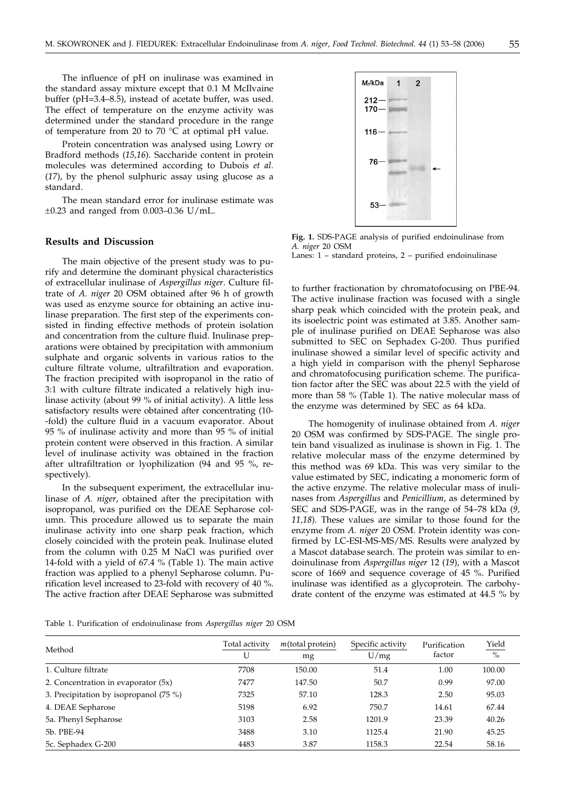The influence of pH on inulinase was examined in the standard assay mixture except that 0.1 M McIlvaine buffer (pH=3.4–8.5), instead of acetate buffer, was used. The effect of temperature on the enzyme activity was determined under the standard procedure in the range of temperature from 20 to 70 °C at optimal pH value.

Protein concentration was analysed using Lowry or Bradford methods (*15,16*). Saccharide content in protein molecules was determined according to Dubois *et al.* (*17*), by the phenol sulphuric assay using glucose as a standard.

The mean standard error for inulinase estimate was  $\pm 0.23$  and ranged from 0.003-0.36 U/mL.

# **Results and Discussion**

The main objective of the present study was to purify and determine the dominant physical characteristics of extracellular inulinase of *Aspergillus niger*. Culture filtrate of *A. niger* 20 OSM obtained after 96 h of growth was used as enzyme source for obtaining an active inulinase preparation. The first step of the experiments consisted in finding effective methods of protein isolation and concentration from the culture fluid. Inulinase preparations were obtained by precipitation with ammonium sulphate and organic solvents in various ratios to the culture filtrate volume, ultrafiltration and evaporation. The fraction precipited with isopropanol in the ratio of 3:1 with culture filtrate indicated a relatively high inulinase activity (about 99 % of initial activity). A little less satisfactory results were obtained after concentrating (10- -fold) the culture fluid in a vacuum evaporator. About 95 % of inulinase activity and more than 95 % of initial protein content were observed in this fraction. A similar level of inulinase activity was obtained in the fraction after ultrafiltration or lyophilization (94 and 95 %, respectively).

In the subsequent experiment, the extracellular inulinase of *A. niger*, obtained after the precipitation with isopropanol, was purified on the DEAE Sepharose column. This procedure allowed us to separate the main inulinase activity into one sharp peak fraction, which closely coincided with the protein peak. Inulinase eluted from the column with 0.25 M NaCl was purified over 14-fold with a yield of 67.4 % (Table 1). The main active fraction was applied to a phenyl Sepharose column. Purification level increased to 23-fold with recovery of 40 %. The active fraction after DEAE Sepharose was submitted



**Fig. 1.** SDS-PAGE analysis of purified endoinulinase from *A. niger* 20 OSM Lanes: 1 – standard proteins, 2 – purified endoinulinase

to further fractionation by chromatofocusing on PBE-94. The active inulinase fraction was focused with a single sharp peak which coincided with the protein peak, and its isoelectric point was estimated at 3.85. Another sample of inulinase purified on DEAE Sepharose was also submitted to SEC on Sephadex G-200. Thus purified inulinase showed a similar level of specific activity and a high yield in comparison with the phenyl Sepharose and chromatofocusing purification scheme. The purification factor after the SEC was about 22.5 with the yield of more than 58 % (Table 1). The native molecular mass of the enzyme was determined by SEC as 64 kDa.

The homogenity of inulinase obtained from *A. niger* 20 OSM was confirmed by SDS-PAGE. The single protein band visualized as inulinase is shown in Fig. 1. The relative molecular mass of the enzyme determined by this method was 69 kDa. This was very similar to the value estimated by SEC, indicating a monomeric form of the active enzyme. The relative molecular mass of inulinases from *Aspergillus* and *Penicillium*, as determined by SEC and SDS-PAGE, was in the range of 54–78 kDa (*9, 11,18*). These values are similar to those found for the enzyme from *A. niger* 20 OSM. Protein identity was confirmed by LC-ESI-MS-MS/MS. Results were analyzed by a Mascot database search. The protein was similar to endoinulinase from *Aspergillus niger* 12 (*19*), with a Mascot score of 1669 and sequence coverage of 45 %. Purified inulinase was identified as a glycoprotein. The carbohydrate content of the enzyme was estimated at 44.5 % by

Table 1. Purification of endoinulinase from *Aspergillus niger* 20 OSM

| Method                                 | Total activity<br>U | $m$ (total protein)<br>mg | Specific activity<br>U/mg | Purification<br>factor | Yield<br>$\%$ |
|----------------------------------------|---------------------|---------------------------|---------------------------|------------------------|---------------|
| 1. Culture filtrate                    | 7708                | 150.00                    | 51.4                      | 1.00                   | 100.00        |
| 2. Concentration in evaporator (5x)    | 7477                | 147.50                    | 50.7                      | 0.99                   | 97.00         |
| 3. Precipitation by isopropanol (75 %) | 7325                | 57.10                     | 128.3                     | 2.50                   | 95.03         |
| 4. DEAE Sepharose                      | 5198                | 6.92                      | 750.7                     | 14.61                  | 67.44         |
| 5a. Phenyl Sepharose                   | 3103                | 2.58                      | 1201.9                    | 23.39                  | 40.26         |
| 5b. PBE-94                             | 3488                | 3.10                      | 1125.4                    | 21.90                  | 45.25         |
| 5c. Sephadex G-200                     | 4483                | 3.87                      | 1158.3                    | 22.54                  | 58.16         |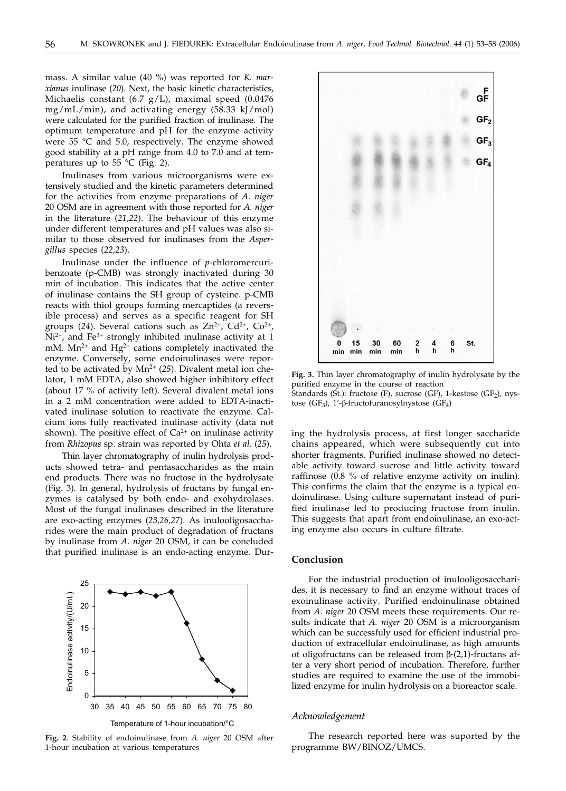mass. A similar value (40 %) was reported for *K. marxianus* inulinase (*20*). Next, the basic kinetic characteristics, Michaelis constant (6.7 g/L), maximal speed (0.0476 mg/mL/min), and activating energy (58.33 kJ/mol) were calculated for the purified fraction of inulinase. The optimum temperature and pH for the enzyme activity were 55 °C and 5.0, respectively. The enzyme showed good stability at a pH range from 4.0 to 7.0 and at temperatures up to 55  $\degree$ C (Fig. 2).

Inulinases from various microorganisms were extensively studied and the kinetic parameters determined for the activities from enzyme preparations of *A. niger* 20 OSM are in agreement with those reported for *A. niger* in the literature (*21*,*22*). The behaviour of this enzyme under different temperatures and pH values was also similar to those observed for inulinases from the *Aspergillus* species (*22,23*).

Inulinase under the influence of *p*-chloromercuribenzoate (p-CMB) was strongly inactivated during 30 min of incubation. This indicates that the active center of inulinase contains the SH group of cysteine. p-CMB reacts with thiol groups forming mercaptides (a reversible process) and serves as a specific reagent for SH groups (24). Several cations such as  $Zn^{2+}$ ,  $Cd^{2+}$ ,  $Co^{2+}$ ,  $Ni<sup>2+</sup>$ , and Fe<sup>3+</sup> strongly inhibited inulinase activity at 1 mM.  $Mn^{2+}$  and  $Hg^{2+}$  cations completely inactivated the enzyme. Conversely, some endoinulinases were reported to be activated by Mn<sup>2+</sup> (25). Divalent metal ion chelator, 1 mM EDTA, also showed higher inhibitory effect (about 17 % of activity left). Several divalent metal ions in a 2 mM concentration were added to EDTA-inactivated inulinase solution to reactivate the enzyme. Calcium ions fully reactivated inulinase activity (data not shown). The positive effect of  $Ca^{2+}$  on inulinase activity from *Rhizopus* sp. strain was reported by Ohta *et al*. (*25*).

Thin layer chromatography of inulin hydrolysis products showed tetra- and pentasaccharides as the main end products. There was no fructose in the hydrolysate (Fig. 3). In general, hydrolysis of fructans by fungal enzymes is catalysed by both endo- and exohydrolases. Most of the fungal inulinases described in the literature are exo-acting enzymes (*23,26,27*). As inulooligosaccharides were the main product of degradation of fructans by inulinase from *A. niger* 20 OSM, it can be concluded that purified inulinase is an endo-acting enzyme. Dur-



**Fig. 2**. Stability of endoinulinase from *A. niger* 20 OSM after 1-hour incubation at various temperatures



**Fig. 3.** Thin layer chromatography of inulin hydrolysate by the purified enzyme in the course of reaction

Standards (St.): fructose (F), sucrose (GF), 1-kestose (GF<sub>2</sub>), nystose (GF<sub>3</sub>), 1'- $\beta$ -fructofuranosylnystose (GF<sub>4</sub>)

ing the hydrolysis process, at first longer saccharide chains appeared, which were subsequently cut into shorter fragments. Purified inulinase showed no detectable activity toward sucrose and little activity toward raffinose (0.8 % of relative enzyme activity on inulin). This confirms the claim that the enzyme is a typical endoinulinase. Using culture supernatant instead of purified inulinase led to producing fructose from inulin. This suggests that apart from endoinulinase, an exo-acting enzyme also occurs in culture filtrate.

# **Conclusion**

For the industrial production of inulooligosaccharides, it is necessary to find an enzyme without traces of exoinulinase activity. Purified endoinulinase obtained from *A. niger* 20 OSM meets these requirements. Our results indicate that *A. niger* 20 OSM is a microorganism which can be successfuly used for efficient industrial production of extracellular endoinulinase, as high amounts of oligofructans can be released from  $\beta$ -(2,1)-fructans after a very short period of incubation. Therefore, further studies are required to examine the use of the immobilized enzyme for inulin hydrolysis on a bioreactor scale.

### *Acknowledgement*

The research reported here was suported by the programme BW/BINOZ/UMCS.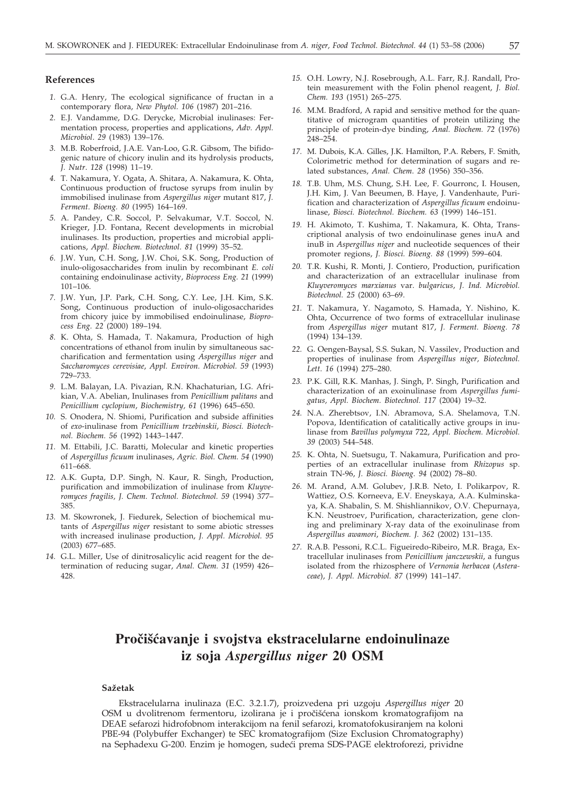# **References**

- *1.* G.A. Henry, The ecological significance of fructan in a contemporary flora, *New Phytol. 106* (1987) 201–216.
- *2.* E.J. Vandamme, D.G. Derycke, Microbial inulinases: Fermentation process, properties and applications, *Adv. Appl. Microbiol*. *29* (1983) 139–176.
- *3.* M.B. Roberfroid, J.A.E. Van-Loo, G.R. Gibsom, The bifidogenic nature of chicory inulin and its hydrolysis products, *J. Nutr*. *128* (1998) 11–19.
- *4.* T. Nakamura, Y. Ogata, A. Shitara, A. Nakamura, K. Ohta, Continuous production of fructose syrups from inulin by immobilised inulinase from *Aspergillus niger* mutant 817, *J. Ferment. Bioeng. 80* (1995) 164–169.
- *5.* A. Pandey, C.R. Soccol, P. Selvakumar, V.T. Soccol, N. Krieger, J.D. Fontana, Recent developments in microbial inulinases. Its production, properties and microbial applications, *Appl. Biochem. Biotechnol. 81* (1999) 35–52.
- *6.* J.W. Yun, C.H. Song, J.W. Choi, S.K. Song, Production of inulo-oligosaccharides from inulin by recombinant *E. coli* containing endoinulinase activity, *Bioprocess Eng. 21* (1999) 101–106.
- *7.* J.W. Yun, J.P. Park, C.H. Song, C.Y. Lee, J.H. Kim, S.K. Song, Continuous production of inulo-oligosaccharides from chicory juice by immobilised endoinulinase, *Bioprocess Eng. 22* (2000) 189–194.
- *8.* K. Ohta, S. Hamada, T. Nakamura, Production of high concentrations of ethanol from inulin by simultaneous saccharification and fermentation using *Aspergillus niger* and *Saccharomyces cerevisiae*, *Appl. Environ. Microbiol. 59* (1993) 729–733.
- *9.* L.M. Balayan, I.A. Pivazian, R.N. Khachaturian, I.G. Afrikian, V.A. Abelian, Inulinases from *Penicillium palitans* and *Penicillium cyclopium*, *Biochemistry, 61* (1996) 645–650.
- *10.* S. Onodera, N. Shiomi, Purification and subside affinities of *exo*-inulinase from *Penicillium trzebinskii*, *Biosci. Biotechnol. Biochem. 56* (1992) 1443–1447.
- *11.* M. Ettabili, J.C. Baratti, Molecular and kinetic properties of *Aspergillus ficuum* inulinases, *Agric. Biol. Chem. 54* (1990) 611–668.
- *12.* A.K. Gupta, D.P. Singh, N. Kaur, R. Singh, Production, purification and immobilization of inulinase from *Kluyveromyces fragilis, J. Chem. Technol. Biotechnol. 59* (1994) 377– 385.
- *13.* M. Skowronek, J. Fiedurek, Selection of biochemical mutants of *Aspergillus niger* resistant to some abiotic stresses with increased inulinase production, *J. Appl. Microbiol. 95* (2003) 677–685.
- *14.* G.L. Miller, Use of dinitrosalicylic acid reagent for the determination of reducing sugar, *Anal. Chem. 31* (1959) 426– 428.
- *15.* O.H. Lowry, N.J. Rosebrough, A.L. Farr, R.J. Randall, Protein measurement with the Folin phenol reagent, *J. Biol. Chem. 193* (1951) 265–275.
- *16.* M.M. Bradford, A rapid and sensitive method for the quantitative of microgram quantities of protein utilizing the principle of protein-dye binding, *Anal. Biochem. 72* (1976) 248–254.
- *17.* M. Dubois, K.A. Gilles, J.K. Hamilton, P.A. Rebers, F. Smith, Colorimetric method for determination of sugars and related substances, *Anal. Chem*. *28* (1956) 350–356.
- *18.* T.B. Uhm, M.S. Chung, S.H. Lee, F. Gourronc, I. Housen, J.H. Kim, J. Van Beeumen, B. Haye, J. Vandenhaute, Purification and characterization of *Aspergillus ficuum* endoinulinase, *Biosci. Biotechnol. Biochem. 63* (1999) 146–151.
- *19.* H. Akimoto, T. Kushima, T. Nakamura, K. Ohta, Transcriptional analysis of two endoinulinase genes inuA and inuB in *Aspergillus niger* and nucleotide sequences of their promoter regions, *J. Biosci. Bioeng. 88* (1999) 599–604.
- *20.* T.R. Kushi, R. Monti, J. Contiero, Production, purification and characterization of an extracellular inulinase from *Kluyveromyces marxianus* var. *bulgaricus*, *J. Ind. Microbiol. Biotechnol. 25* (2000) 63–69.
- *21.* T. Nakamura, Y. Nagamoto, S. Hamada, Y. Nishino, K. Ohta, Occurrence of two forms of extracellular inulinase from *Aspergillus niger* mutant 817, *J. Ferment. Bioeng. 78* (1994) 134–139.
- *22.* G. Oengen-Baysal, S.S. Sukan, N. Vassilev, Production and properties of inulinase from *Aspergillus niger, Biotechnol. Lett*. *16* (1994) 275–280.
- *23.* P.K. Gill, R.K. Manhas, J. Singh, P. Singh, Purification and characterization of an exoinulinase from *Aspergillus fumigatus, Appl. Biochem. Biotechnol. 117* (2004) 19–32.
- *24.* N.A. Zherebtsov, I.N. Abramova, S.A. Shelamova, T.N. Popova, Identification of catalitically active groups in inulinase from *Bavillus polymyxa* 722, *Appl. Biochem. Microbiol. 39* (2003) 544–548.
- *25.* K. Ohta, N. Suetsugu, T. Nakamura, Purification and properties of an extracellular inulinase from *Rhizopus* sp. strain TN-96, *J. Biosci. Bioeng. 94* (2002) 78–80.
- *26.* M. Arand, A.M. Golubev, J.R.B. Neto, I. Polikarpov, R. Wattiez, O.S. Korneeva, E.V. Eneyskaya, A.A. Kulminskaya, K.A. Shabalin, S. M. Shishliannikov, O.V. Chepurnaya, K.N. Neustroev, Purification, characterization, gene cloning and preliminary X-ray data of the exoinulinase from *Aspergillus awamori*, *Biochem. J. 362* (2002) 131–135.
- *27.* R.A.B. Pessoni, R.C.L. Figueiredo-Ribeiro, M.R. Braga, Extracellular inulinases from *Penicillium janczewskii*, a fungus isolated from the rhizosphere of *Vernonia herbacea* (*Asteraceae*), *J. Appl. Microbiol. 87* (1999) 141–147.

# **Pročišćavanje i svojstva ekstracelularne endoinulinaze iz soja** *Aspergillus niger* **20 OSM**

#### **Sa`etak**

Ekstracelularna inulinaza (E.C. 3.2.1.7), proizvedena pri uzgoju *Aspergillus niger* 20 OSM u dvolitrenom fermentoru, izolirana je i pročišćena ionskom kromatografijom na DEAE sefarozi hidrofobnom interakcijom na fenil sefarozi, kromatofokusiranjem na koloni PBE-94 (Polybuffer Exchanger) te SEC kromatografijom (Size Exclusion Chromatography) na Sephadexu G-200. Enzim je homogen, sudeći prema SDS-PAGE elektroforezi, prividne